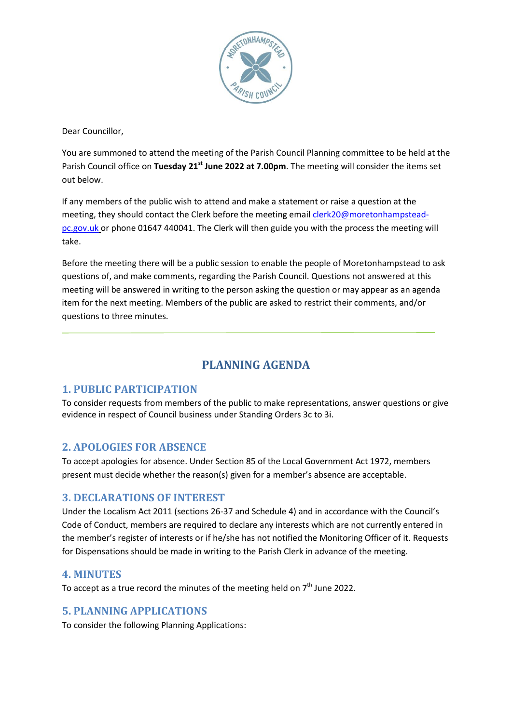

Dear Councillor,

You are summoned to attend the meeting of the Parish Council Planning committee to be held at the Parish Council office on **Tuesday 21st June 2022 at 7.00pm**. The meeting will consider the items set out below.

If any members of the public wish to attend and make a statement or raise a question at the meeting, they should contact the Clerk before the meeting emai[l clerk20@moretonhampstead](mailto:clerk20@moretonhampstead-pc.gov.uk)[pc.gov.uk](mailto:clerk20@moretonhampstead-pc.gov.uk) or phone 01647 440041. The Clerk will then guide you with the process the meeting will take.

Before the meeting there will be a public session to enable the people of Moretonhampstead to ask questions of, and make comments, regarding the Parish Council. Questions not answered at this meeting will be answered in writing to the person asking the question or may appear as an agenda item for the next meeting. Members of the public are asked to restrict their comments, and/or questions to three minutes.

# **PLANNING AGENDA**

# **1. PUBLIC PARTICIPATION**

To consider requests from members of the public to make representations, answer questions or give evidence in respect of Council business under Standing Orders 3c to 3i.

# **2. APOLOGIES FOR ABSENCE**

To accept apologies for absence. Under Section 85 of the Local Government Act 1972, members present must decide whether the reason(s) given for a member's absence are acceptable.

#### **3. DECLARATIONS OF INTEREST**

Under the Localism Act 2011 (sections 26-37 and Schedule 4) and in accordance with the Council's Code of Conduct, members are required to declare any interests which are not currently entered in the member's register of interests or if he/she has not notified the Monitoring Officer of it. Requests for Dispensations should be made in writing to the Parish Clerk in advance of the meeting.

## **4. MINUTES**

To accept as a true record the minutes of the meeting held on  $7<sup>th</sup>$  June 2022.

## **5. PLANNING APPLICATIONS**

To consider the following Planning Applications: